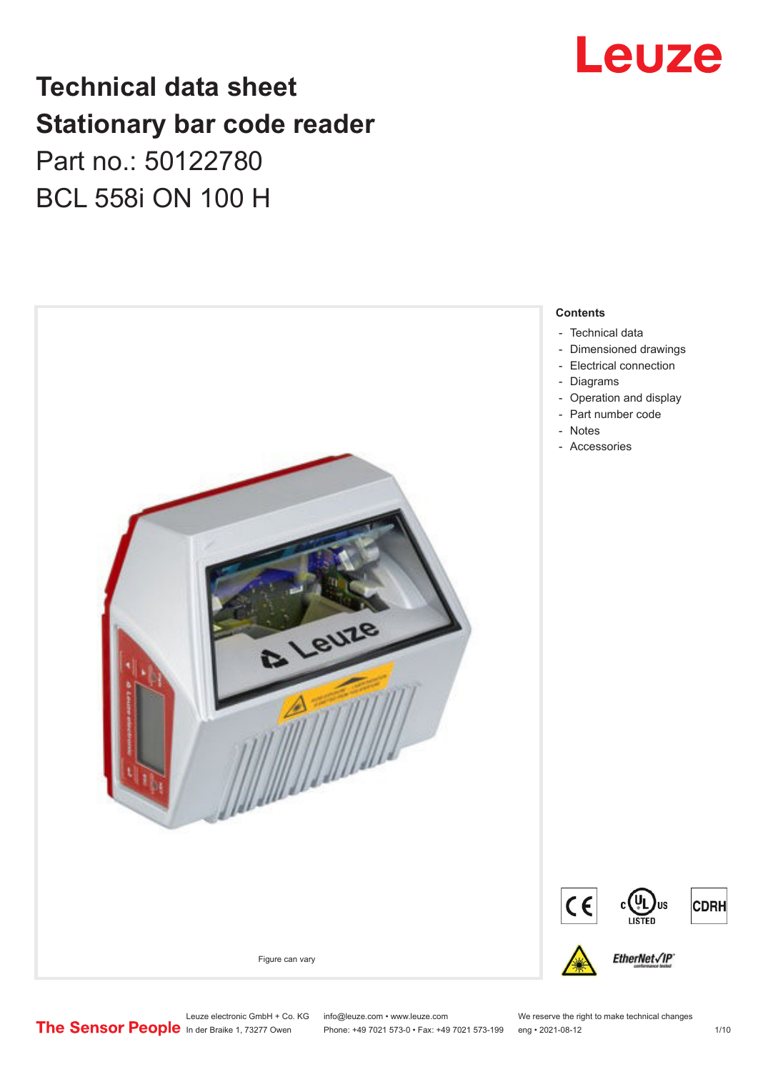

# **Technical data sheet Stationary bar code reader** Part no.: 50122780 BCL 558i ON 100 H



Leuze electronic GmbH + Co. KG info@leuze.com • www.leuze.com We reserve the right to make technical changes<br>
The Sensor People in der Braike 1, 73277 Owen Phone: +49 7021 573-0 • Fax: +49 7021 573-199 eng • 2021-08-12

Phone: +49 7021 573-0 • Fax: +49 7021 573-199 eng • 2021-08-12 1 /10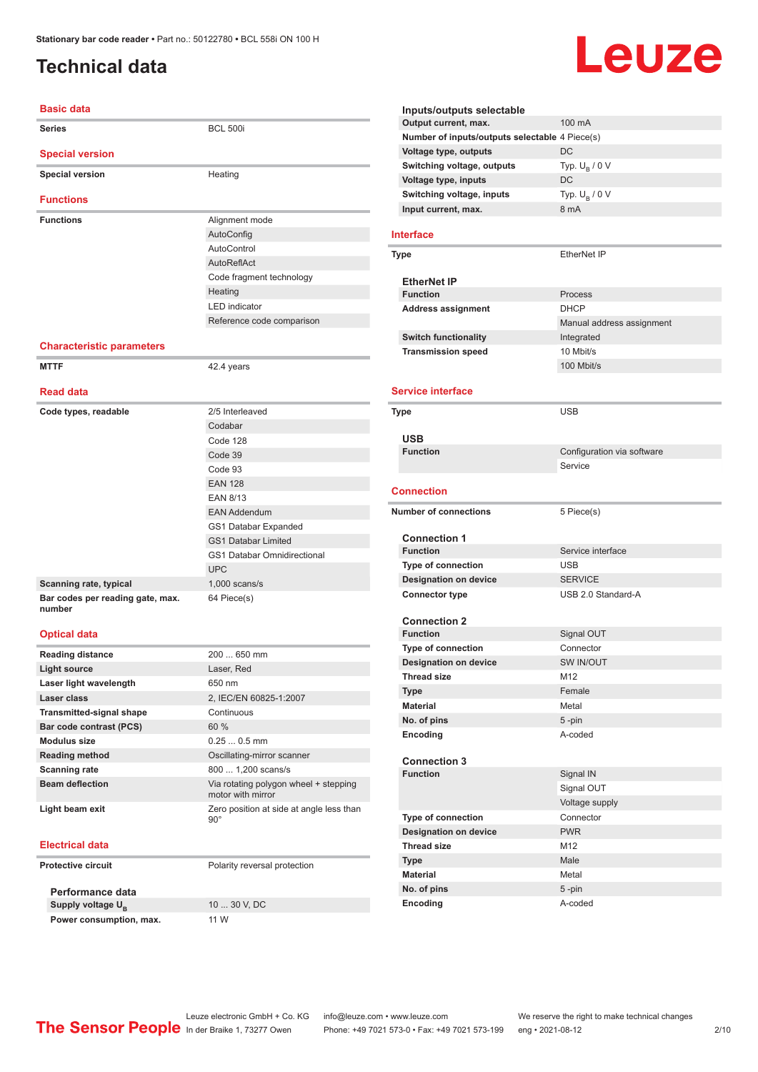# <span id="page-1-0"></span>**Technical data**

# Leuze

| <b>Basic data</b>                                                 |                                                               |
|-------------------------------------------------------------------|---------------------------------------------------------------|
| <b>Series</b>                                                     | <b>BCL 500i</b>                                               |
| <b>Special version</b>                                            |                                                               |
| <b>Special version</b>                                            | Heating                                                       |
|                                                                   |                                                               |
| <b>Functions</b>                                                  |                                                               |
| <b>Functions</b>                                                  | Alignment mode                                                |
|                                                                   | AutoConfig                                                    |
|                                                                   | AutoControl                                                   |
|                                                                   | AutoReflAct                                                   |
|                                                                   | Code fragment technology                                      |
|                                                                   | Heating                                                       |
|                                                                   | <b>LED</b> indicator                                          |
|                                                                   | Reference code comparison                                     |
| <b>Characteristic parameters</b>                                  |                                                               |
| <b>MTTF</b>                                                       | 42.4 years                                                    |
| <b>Read data</b>                                                  |                                                               |
| Code types, readable                                              | 2/5 Interleaved                                               |
|                                                                   | Codabar                                                       |
|                                                                   | Code 128                                                      |
|                                                                   | Code 39                                                       |
|                                                                   | Code 93                                                       |
|                                                                   | <b>EAN 128</b>                                                |
|                                                                   | <b>EAN 8/13</b>                                               |
|                                                                   |                                                               |
|                                                                   | <b>EAN Addendum</b>                                           |
|                                                                   | GS1 Databar Expanded                                          |
|                                                                   | <b>GS1 Databar Limited</b>                                    |
|                                                                   | <b>GS1 Databar Omnidirectional</b>                            |
|                                                                   | <b>UPC</b>                                                    |
| Scanning rate, typical                                            | $1,000$ scans/s                                               |
| Bar codes per reading gate, max.<br>number<br><b>Optical data</b> | 64 Piece(s)                                                   |
| <b>Reading distance</b>                                           | 200  650 mm                                                   |
| <b>Light source</b>                                               | Laser, Red                                                    |
| Laser light wavelength                                            | 650 nm                                                        |
| Laser class                                                       | 2, IEC/EN 60825-1:2007                                        |
| <b>Transmitted-signal shape</b>                                   | Continuous                                                    |
| Bar code contrast (PCS)                                           | 60%                                                           |
| <b>Modulus size</b>                                               | $0.250.5$ mm                                                  |
| <b>Reading method</b>                                             | Oscillating-mirror scanner                                    |
| <b>Scanning rate</b>                                              | 800  1,200 scans/s                                            |
| <b>Beam deflection</b>                                            | Via rotating polygon wheel + stepping                         |
| Light beam exit                                                   | motor with mirror<br>Zero position at side at angle less than |
|                                                                   | $90^{\circ}$                                                  |
| <b>Electrical data</b>                                            |                                                               |
| <b>Protective circuit</b>                                         | Polarity reversal protection                                  |
| Performance data                                                  |                                                               |
|                                                                   |                                                               |

Supply voltage  $U_B$ **Power consumption, max.** 11 W

10 ... 30 V, DC

| Inputs/outputs selectable                      |                            |
|------------------------------------------------|----------------------------|
| Output current, max.                           | 100 mA                     |
| Number of inputs/outputs selectable 4 Piece(s) |                            |
| Voltage type, outputs                          | DC                         |
| Switching voltage, outputs                     | Typ. $U_R / 0 V$           |
| Voltage type, inputs                           | DC                         |
| Switching voltage, inputs                      | Typ. $U_B / 0 V$           |
| Input current, max.                            | 8 mA                       |
|                                                |                            |
| <b>Interface</b>                               |                            |
| Type                                           | EtherNet IP                |
|                                                |                            |
| <b>EtherNet IP</b>                             |                            |
| <b>Function</b>                                | Process                    |
| <b>Address assignment</b>                      | <b>DHCP</b>                |
|                                                | Manual address assignment  |
| <b>Switch functionality</b>                    | Integrated                 |
| <b>Transmission speed</b>                      | 10 Mbit/s                  |
|                                                | 100 Mbit/s                 |
|                                                |                            |
| <b>Service interface</b>                       |                            |
| Type                                           | <b>USB</b>                 |
|                                                |                            |
| <b>USB</b>                                     |                            |
| <b>Function</b>                                | Configuration via software |
|                                                | Service                    |
|                                                |                            |
| Connection                                     |                            |
|                                                |                            |
| <b>Number of connections</b>                   |                            |
|                                                | 5 Piece(s)                 |
| <b>Connection 1</b>                            |                            |
| <b>Function</b>                                | Service interface          |
| <b>Type of connection</b>                      | <b>USB</b>                 |
| <b>Designation on device</b>                   | <b>SERVICE</b>             |
| <b>Connector type</b>                          | USB 2.0 Standard-A         |
|                                                |                            |
| <b>Connection 2</b>                            |                            |
| <b>Function</b>                                | Signal OUT                 |
| <b>Type of connection</b>                      | Connector                  |
| <b>Designation on device</b>                   | SW IN/OUT                  |
| Thread size                                    | M12                        |
| Type                                           | Female                     |
| Material                                       | Metal                      |
| No. of pins                                    | $5 - pin$                  |
| Encoding                                       | A-coded                    |
|                                                |                            |
| <b>Connection 3</b>                            |                            |
| <b>Function</b>                                | Signal IN                  |
|                                                | Signal OUT                 |
|                                                | Voltage supply             |
| <b>Type of connection</b>                      | Connector                  |
| <b>Designation on device</b>                   | <b>PWR</b>                 |
| <b>Thread size</b>                             | M <sub>12</sub>            |
| <b>Type</b>                                    | Male                       |
| <b>Material</b>                                | Metal                      |
| No. of pins                                    | 5-pin                      |

Leuze electronic GmbH + Co. KG info@leuze.com • www.leuze.com We reserve the right to make technical changes<br>
The Sensor People in der Braike 1, 73277 Owen Phone: +49 7021 573-0 • Fax: +49 7021 573-199 eng • 2021-08-12

In der Braike 1, 73277 Owen Phone: +49 7021 573-0 • Fax: +49 7021 573-199 eng • 2021-08-12 2 /10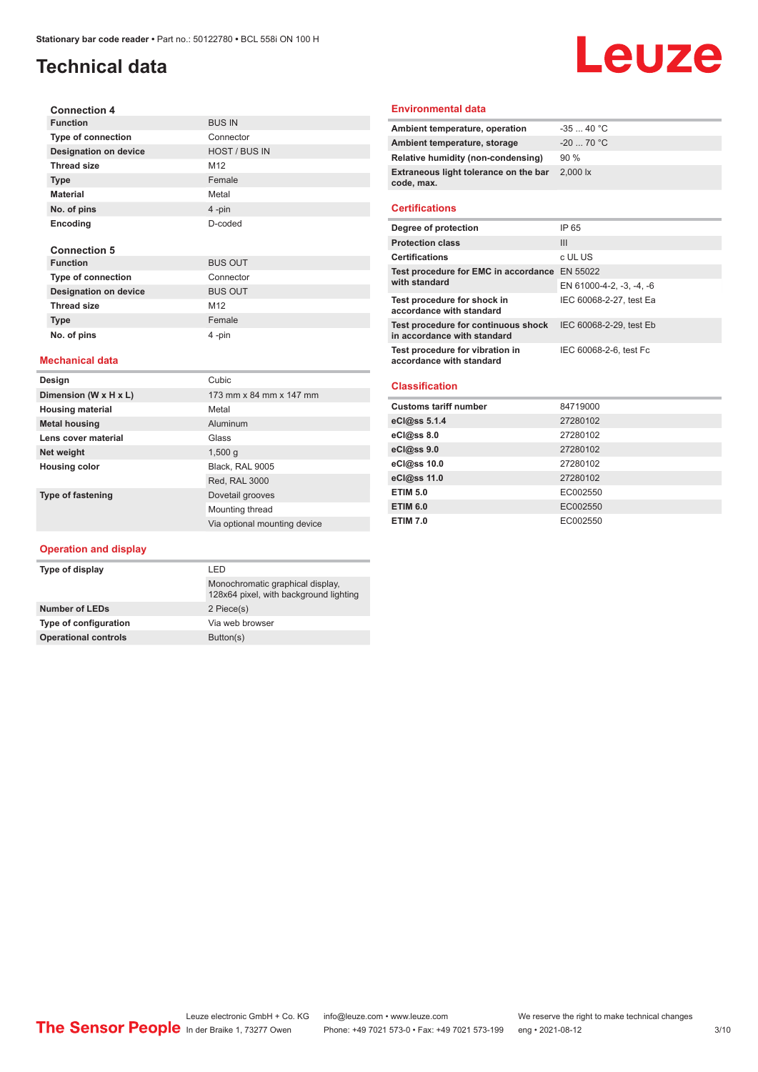# **Technical data**

#### **Connection 4 Function** BUS IN **Type of connection** Connector **Designation on device** HOST / BUS IN **Thread size** M12 **Type** Female **Material** Metal **No. of pins** 4 -pin **Encoding** D-coded **Connection 5 Function** BUS OUT **Type of connection**<br> **Designation on device**<br>
BUS OUT **Designation on device** Thread size M12

#### **Mechanical data**

**Type Female No. of pins** 4 -pin

| Design                   | Cubic                        |
|--------------------------|------------------------------|
| Dimension (W x H x L)    | 173 mm x 84 mm x 147 mm      |
| <b>Housing material</b>  | Metal                        |
| <b>Metal housing</b>     | Aluminum                     |
| Lens cover material      | Glass                        |
| Net weight               | 1,500q                       |
| Housing color            | Black, RAL 9005              |
|                          | Red, RAL 3000                |
| <b>Type of fastening</b> | Dovetail grooves             |
|                          | Mounting thread              |
|                          | Via optional mounting device |

#### **Operation and display**

| I FD                                                                       |  |
|----------------------------------------------------------------------------|--|
| Monochromatic graphical display.<br>128x64 pixel, with background lighting |  |
| 2 Piece(s)                                                                 |  |
| Via web browser                                                            |  |
| Button(s)                                                                  |  |
|                                                                            |  |

#### **Environmental data**

| Ambient temperature, operation                      | $-3540 °C$                     |
|-----------------------------------------------------|--------------------------------|
| Ambient temperature, storage                        | $-20$ 70 °C                    |
| Relative humidity (non-condensing)                  | 90%                            |
| Extraneous light tolerance on the bar<br>code, max. | $2,000$ $\overline{\text{lx}}$ |
|                                                     |                                |

Leuze

#### **Certifications**

| Degree of protection                                               | IP 65                    |
|--------------------------------------------------------------------|--------------------------|
| <b>Protection class</b>                                            | Ш                        |
| <b>Certifications</b>                                              | c UL US                  |
| Test procedure for EMC in accordance EN 55022                      |                          |
| with standard                                                      | EN 61000-4-2, -3, -4, -6 |
| Test procedure for shock in<br>accordance with standard            | IEC 60068-2-27, test Ea  |
| Test procedure for continuous shock<br>in accordance with standard | IEC 60068-2-29, test Eb  |
| Test procedure for vibration in<br>accordance with standard        | IEC 60068-2-6, test Fc   |

#### **Classification**

| <b>Customs tariff number</b> | 84719000 |
|------------------------------|----------|
| eCl@ss 5.1.4                 | 27280102 |
| eCl@ss 8.0                   | 27280102 |
| eCl@ss 9.0                   | 27280102 |
| eCl@ss 10.0                  | 27280102 |
| eCl@ss 11.0                  | 27280102 |
| <b>ETIM 5.0</b>              | EC002550 |
| <b>ETIM 6.0</b>              | EC002550 |
| <b>ETIM 7.0</b>              | EC002550 |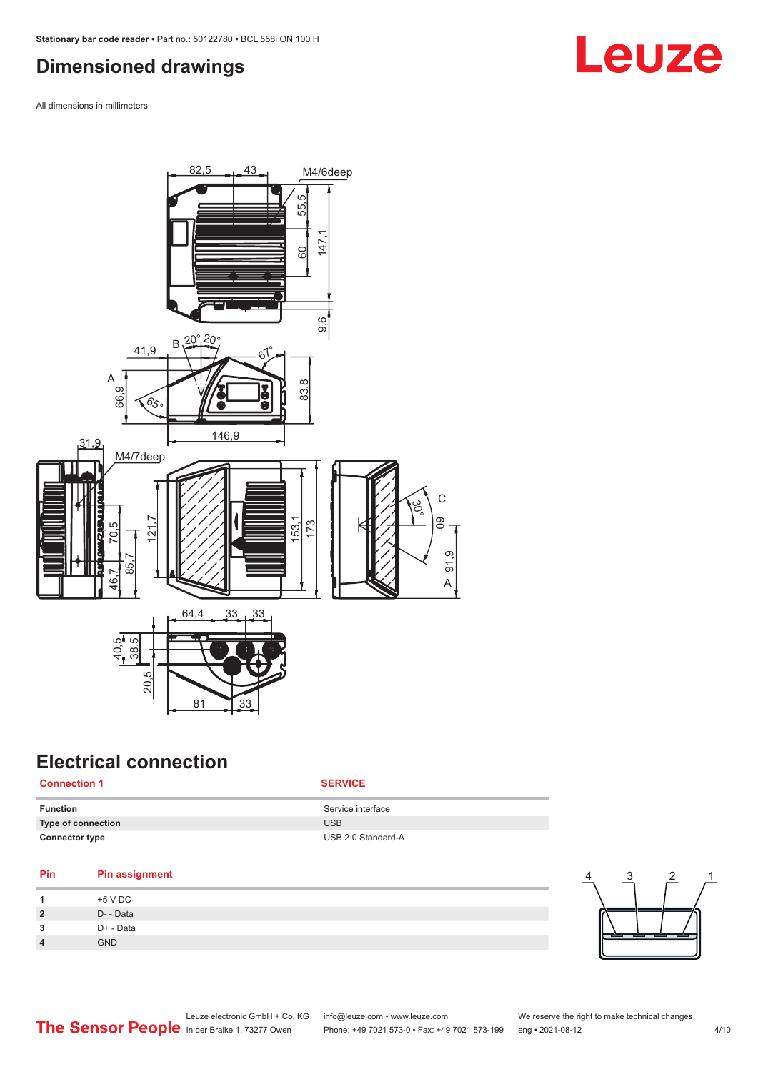# <span id="page-3-0"></span>**Dimensioned drawings**

All dimensions in millimeters



# **Electrical connection**

#### **Connection 1 SERVICE**

| Function              | Service interface  |
|-----------------------|--------------------|
| Type of connection    | <b>USB</b>         |
| <b>Connector type</b> | USB 2.0 Standard-A |

#### **Pin Pin assignment**

|                | +5 V DC    |
|----------------|------------|
| $\overline{2}$ | D- - Data  |
| 3              | D+ - Data  |
| $\overline{4}$ | <b>GND</b> |



# Leuze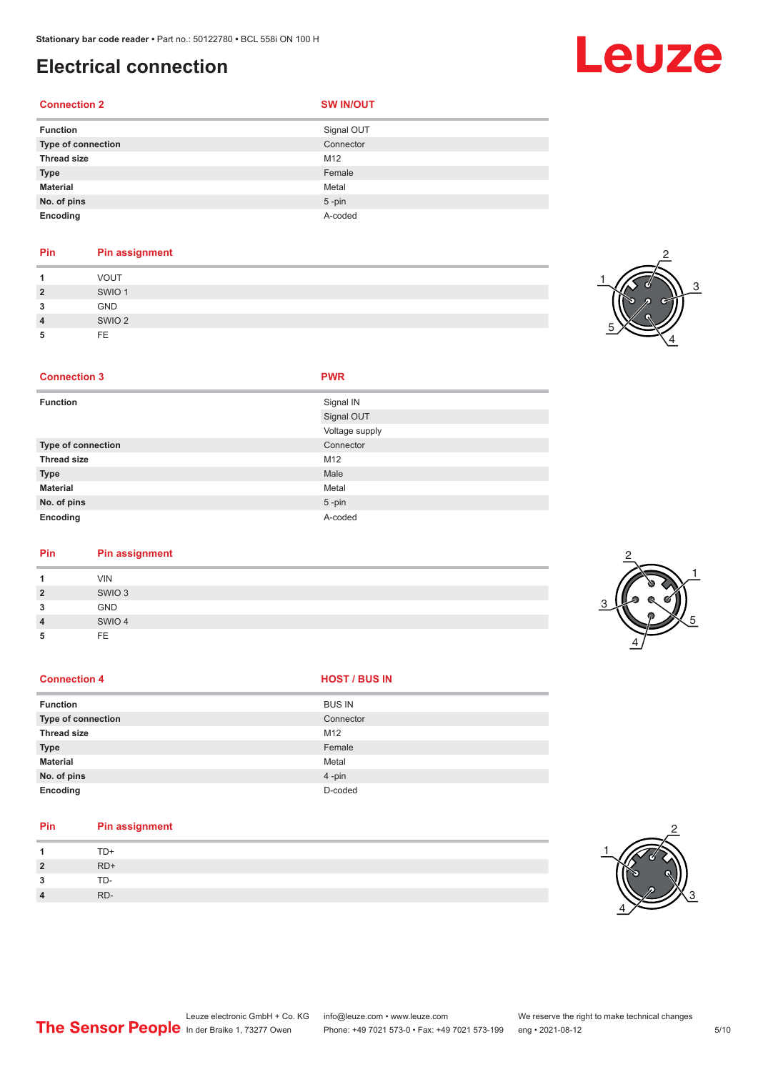**Connection 3 PWR**

# **Electrical connection**

#### **Connection 2 SW IN/OUT**

 $\overline{\phantom{a}}$ 

| <b>Function</b>    | Signal OUT |
|--------------------|------------|
| Type of connection | Connector  |
| <b>Thread size</b> | M12        |
| <b>Type</b>        | Female     |
| <b>Material</b>    | Metal      |
| No. of pins        | $5$ -pin   |
| Encoding           | A-coded    |
|                    |            |

### **Pin Pin assignment**

|                | VOUT              |
|----------------|-------------------|
| $\overline{2}$ | SWIO <sub>1</sub> |
| 3              | GND               |
| $\overline{4}$ | SWIO <sub>2</sub> |
| 5              | FF                |



| <b>Function</b>    | Signal IN      |
|--------------------|----------------|
|                    | Signal OUT     |
|                    | Voltage supply |
| Type of connection | Connector      |
| Thread size        | M12            |
| <b>Type</b>        | Male           |
| <b>Material</b>    | Metal          |
| No. of pins        | $5$ -pin       |
| Encoding           | A-coded        |
|                    |                |

| Pin            | <b>Pin assignment</b> |  |  |  |  |
|----------------|-----------------------|--|--|--|--|
| 1              | <b>VIN</b>            |  |  |  |  |
| $\overline{2}$ | SWIO <sub>3</sub>     |  |  |  |  |
| 3              | <b>GND</b>            |  |  |  |  |
| $\overline{4}$ | SWIO 4                |  |  |  |  |
| 5              | FE.                   |  |  |  |  |

#### **Connection 4 HOST** / BUS IN

| <b>Function</b>           | <b>BUS IN</b> |
|---------------------------|---------------|
| <b>Type of connection</b> | Connector     |
| <b>Thread size</b>        | M12           |
| <b>Type</b>               | Female        |
| <b>Material</b>           | Metal         |
| No. of pins               | $4 - pin$     |
| Encoding                  | D-coded       |

#### **Pin Pin assignment 1** TD+ **2** RD+ **3** TD-**4** RD-





# Leuze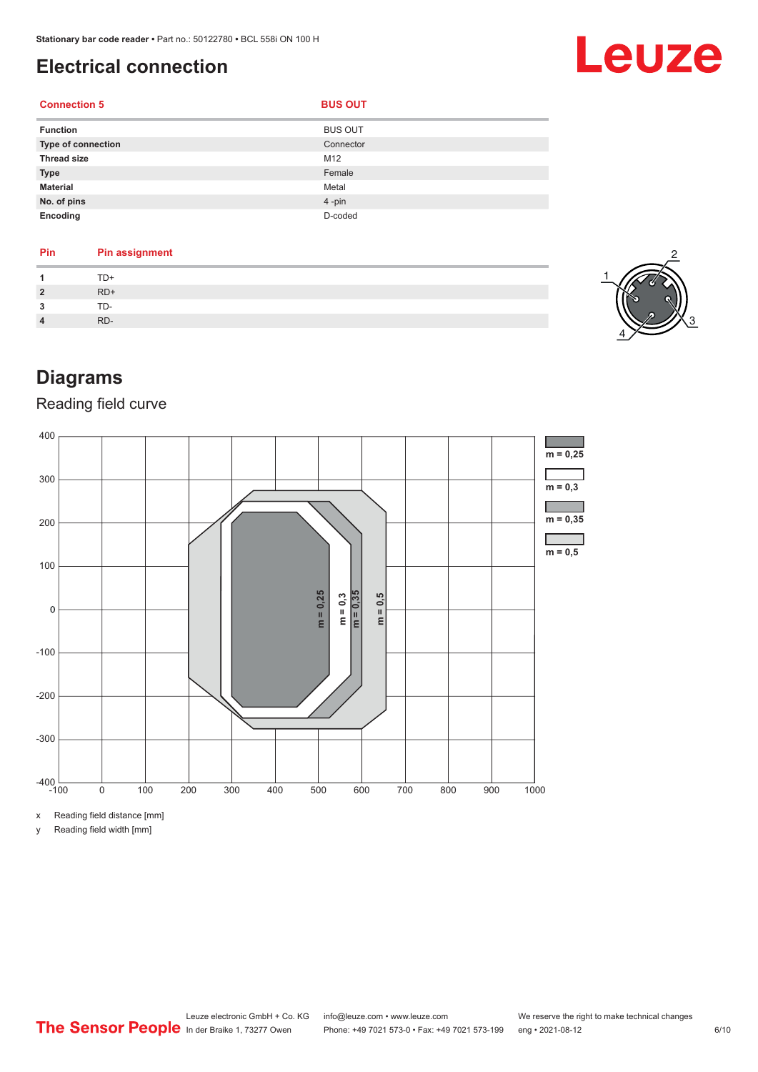# <span id="page-5-0"></span>**Electrical connection**

#### **Connection 5 BUS OUT**

| <b>Function</b>           | <b>BUS OUT</b> |
|---------------------------|----------------|
| <b>Type of connection</b> | Connector      |
| <b>Thread size</b>        | M12            |
| <b>Type</b>               | Female         |
| <b>Material</b>           | Metal          |
| No. of pins               | 4-pin          |
| Encoding                  | D-coded        |

#### **Pin Pin assignment 1** TD+ **2** RD+ **3** TD-**4** RD-



Leuze

# **Diagrams**

### Reading field curve



x Reading field distance [mm]

y Reading field width [mm]

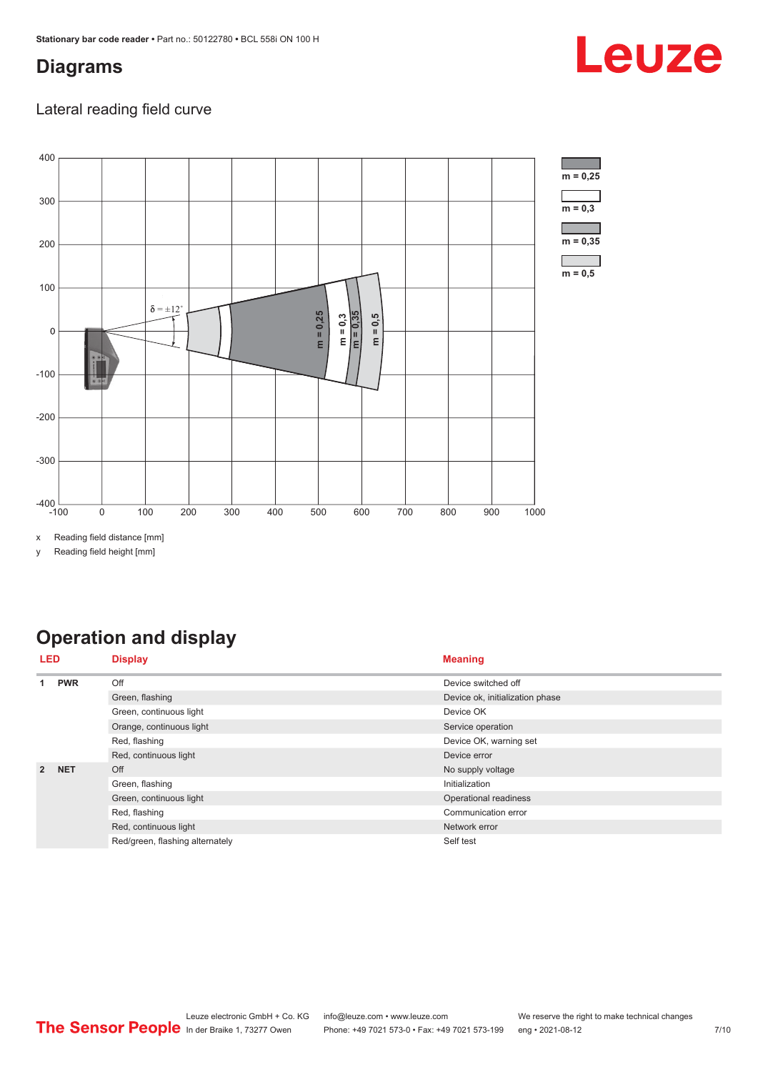## <span id="page-6-0"></span>**Diagrams**

### Lateral reading field curve



x Reading field distance [mm]

y Reading field height [mm]

# **Operation and display**

| LED            |                         | <b>Display</b>                  | <b>Meaning</b>                  |  |
|----------------|-------------------------|---------------------------------|---------------------------------|--|
|                | <b>PWR</b>              | Off                             | Device switched off             |  |
|                |                         | Green, flashing                 | Device ok, initialization phase |  |
|                |                         | Green, continuous light         | Device OK                       |  |
|                |                         | Orange, continuous light        | Service operation               |  |
|                |                         | Red, flashing                   | Device OK, warning set          |  |
|                |                         | Red, continuous light           | Device error                    |  |
| $\overline{2}$ | <b>NET</b>              | Off                             | No supply voltage               |  |
|                |                         | Green, flashing                 | Initialization                  |  |
|                | Green, continuous light | Operational readiness           |                                 |  |
|                | Red, flashing           | Communication error             |                                 |  |
|                |                         | Red, continuous light           | Network error                   |  |
|                |                         | Red/green, flashing alternately | Self test                       |  |

# Leuze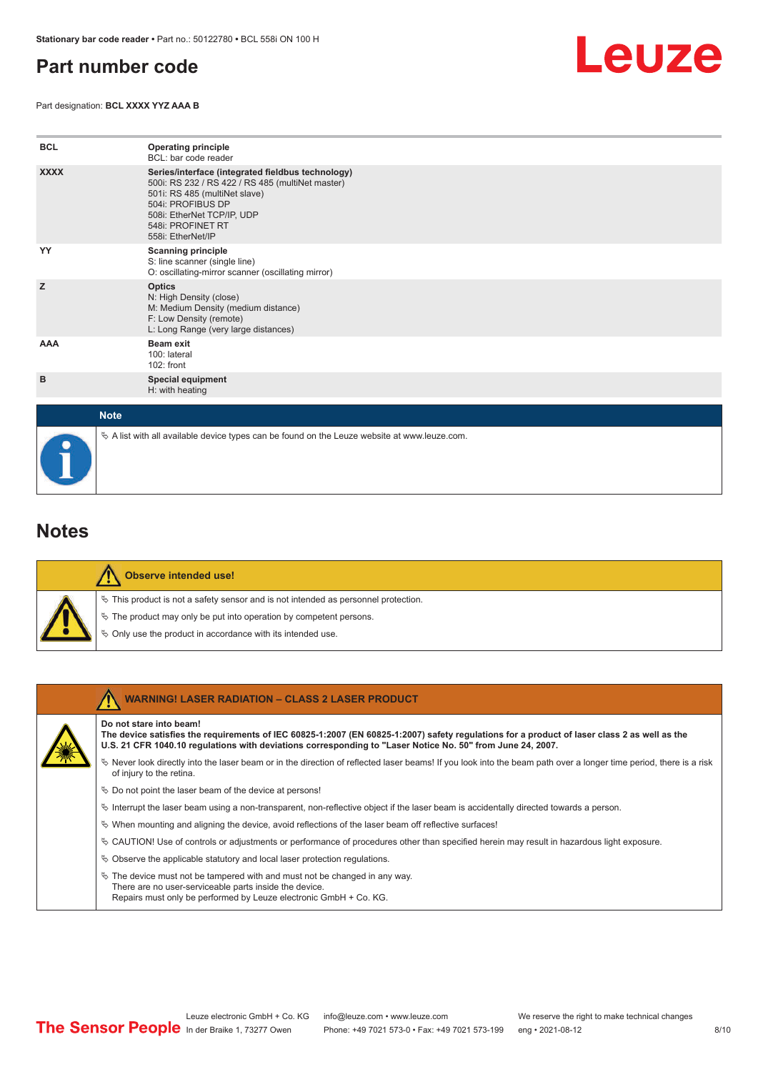## <span id="page-7-0"></span>**Part number code**

Part designation: **BCL XXXX YYZ AAA B**



| <b>BCL</b>  | <b>Operating principle</b><br>BCL: bar code reader                                                                                                                                                                                  |
|-------------|-------------------------------------------------------------------------------------------------------------------------------------------------------------------------------------------------------------------------------------|
| <b>XXXX</b> | Series/interface (integrated fieldbus technology)<br>500i: RS 232 / RS 422 / RS 485 (multiNet master)<br>501i: RS 485 (multiNet slave)<br>504i: PROFIBUS DP<br>508i: EtherNet TCP/IP, UDP<br>548i: PROFINET RT<br>558i: EtherNet/IP |
| YY          | <b>Scanning principle</b><br>S: line scanner (single line)<br>O: oscillating-mirror scanner (oscillating mirror)                                                                                                                    |
| z           | <b>Optics</b><br>N: High Density (close)<br>M: Medium Density (medium distance)<br>F: Low Density (remote)<br>L: Long Range (very large distances)                                                                                  |
| AAA         | Beam exit<br>100: lateral<br>102: front                                                                                                                                                                                             |
| в           | <b>Special equipment</b><br>H: with heating                                                                                                                                                                                         |
| <b>Note</b> |                                                                                                                                                                                                                                     |

 $\%$  A list with all available device types can be found on the Leuze website at www.leuze.com.

### **Notes**

|  | Observe intended use!                                                                 |
|--|---------------------------------------------------------------------------------------|
|  | $\%$ This product is not a safety sensor and is not intended as personnel protection. |
|  | $\%$ The product may only be put into operation by competent persons.                 |
|  | § Only use the product in accordance with its intended use.                           |

| <b>WARNING! LASER RADIATION - CLASS 2 LASER PRODUCT</b>                                                                                                                                                                                                                               |
|---------------------------------------------------------------------------------------------------------------------------------------------------------------------------------------------------------------------------------------------------------------------------------------|
| Do not stare into beam!<br>The device satisfies the requirements of IEC 60825-1:2007 (EN 60825-1:2007) safety requlations for a product of laser class 2 as well as the<br>U.S. 21 CFR 1040.10 regulations with deviations corresponding to "Laser Notice No. 50" from June 24, 2007. |
| Never look directly into the laser beam or in the direction of reflected laser beams! If you look into the beam path over a longer time period, there is a risk<br>of injury to the retina.                                                                                           |
| $\%$ Do not point the laser beam of the device at persons!                                                                                                                                                                                                                            |
| Interrupt the laser beam using a non-transparent, non-reflective object if the laser beam is accidentally directed towards a person.                                                                                                                                                  |
| $\%$ When mounting and aligning the device, avoid reflections of the laser beam off reflective surfaces!                                                                                                                                                                              |
| $\%$ CAUTION! Use of controls or adjustments or performance of procedures other than specified herein may result in hazardous light exposure.                                                                                                                                         |
| $\%$ Observe the applicable statutory and local laser protection regulations.                                                                                                                                                                                                         |
| $\ddot{\varphi}$ The device must not be tampered with and must not be changed in any way.<br>There are no user-serviceable parts inside the device.<br>Repairs must only be performed by Leuze electronic GmbH + Co. KG.                                                              |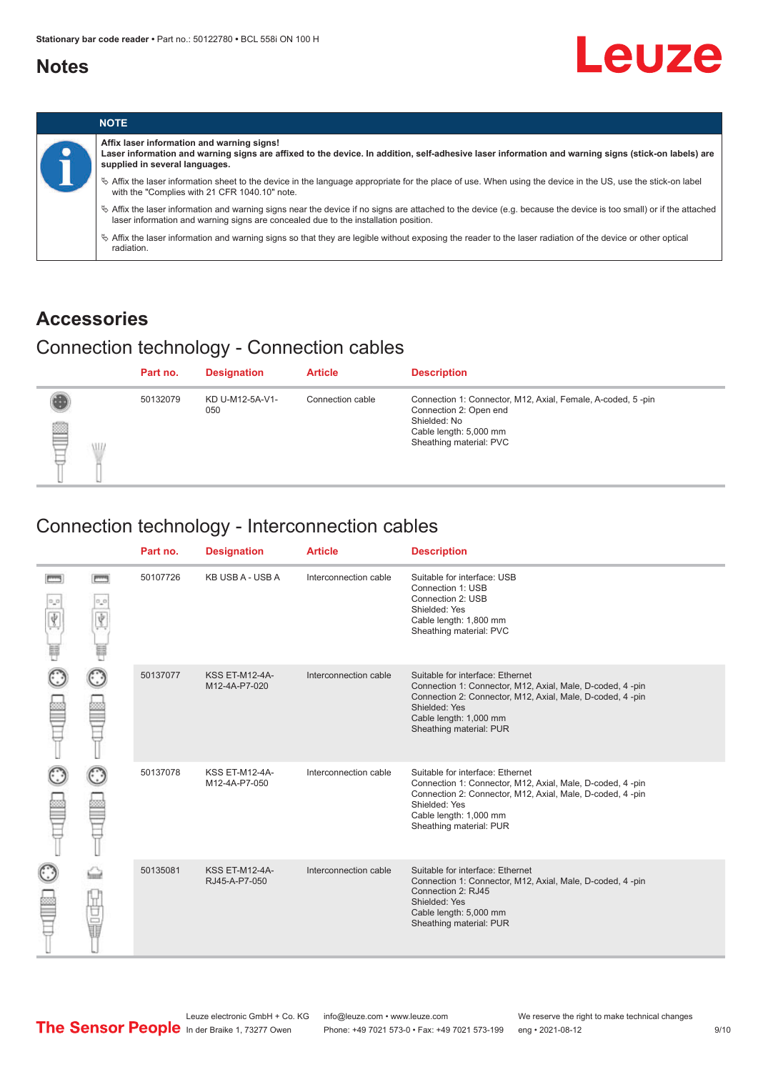### <span id="page-8-0"></span>**Notes**



|  |  | <b>NOTE</b>                                                                                                                                                                                                                                                |
|--|--|------------------------------------------------------------------------------------------------------------------------------------------------------------------------------------------------------------------------------------------------------------|
|  |  | Affix laser information and warning signs!<br>Laser information and warning signs are affixed to the device. In addition, self-adhesive laser information and warning signs (stick-on labels) are<br>supplied in several languages.                        |
|  |  | ↓ Affix the laser information sheet to the device in the language appropriate for the place of use. When using the device in the US, use the stick-on label<br>with the "Complies with 21 CFR 1040.10" note.                                               |
|  |  | $\%$ Affix the laser information and warning signs near the device if no signs are attached to the device (e.g. because the device is too small) or if the attached<br>laser information and warning signs are concealed due to the installation position. |
|  |  | $\%$ Affix the laser information and warning signs so that they are legible without exposing the reader to the laser radiation of the device or other optical<br>radiation.                                                                                |

# **Accessories**

# Connection technology - Connection cables

|        | Part no. | <b>Designation</b>     | <b>Article</b>   | <b>Description</b>                                                                                                                                         |
|--------|----------|------------------------|------------------|------------------------------------------------------------------------------------------------------------------------------------------------------------|
| ₿<br>W | 50132079 | KD U-M12-5A-V1-<br>050 | Connection cable | Connection 1: Connector, M12, Axial, Female, A-coded, 5-pin<br>Connection 2: Open end<br>Shielded: No<br>Cable length: 5,000 mm<br>Sheathing material: PVC |

# Connection technology - Interconnection cables

|   |              | Part no. | <b>Designation</b>                     | <b>Article</b>        | <b>Description</b>                                                                                                                                                                                                               |
|---|--------------|----------|----------------------------------------|-----------------------|----------------------------------------------------------------------------------------------------------------------------------------------------------------------------------------------------------------------------------|
| Ý | <b>books</b> | 50107726 | KB USB A - USB A                       | Interconnection cable | Suitable for interface: USB<br>Connection 1: USB<br>Connection 2: USB<br>Shielded: Yes<br>Cable length: 1,800 mm<br>Sheathing material: PVC                                                                                      |
|   |              | 50137077 | <b>KSS ET-M12-4A-</b><br>M12-4A-P7-020 | Interconnection cable | Suitable for interface: Ethernet<br>Connection 1: Connector, M12, Axial, Male, D-coded, 4-pin<br>Connection 2: Connector, M12, Axial, Male, D-coded, 4-pin<br>Shielded: Yes<br>Cable length: 1,000 mm<br>Sheathing material: PUR |
|   |              | 50137078 | KSS ET-M12-4A-<br>M12-4A-P7-050        | Interconnection cable | Suitable for interface: Ethernet<br>Connection 1: Connector, M12, Axial, Male, D-coded, 4-pin<br>Connection 2: Connector, M12, Axial, Male, D-coded, 4-pin<br>Shielded: Yes<br>Cable length: 1,000 mm<br>Sheathing material: PUR |
|   | 甘量           | 50135081 | <b>KSS ET-M12-4A-</b><br>RJ45-A-P7-050 | Interconnection cable | Suitable for interface: Ethernet<br>Connection 1: Connector, M12, Axial, Male, D-coded, 4-pin<br>Connection 2: RJ45<br>Shielded: Yes<br>Cable length: 5,000 mm<br>Sheathing material: PUR                                        |